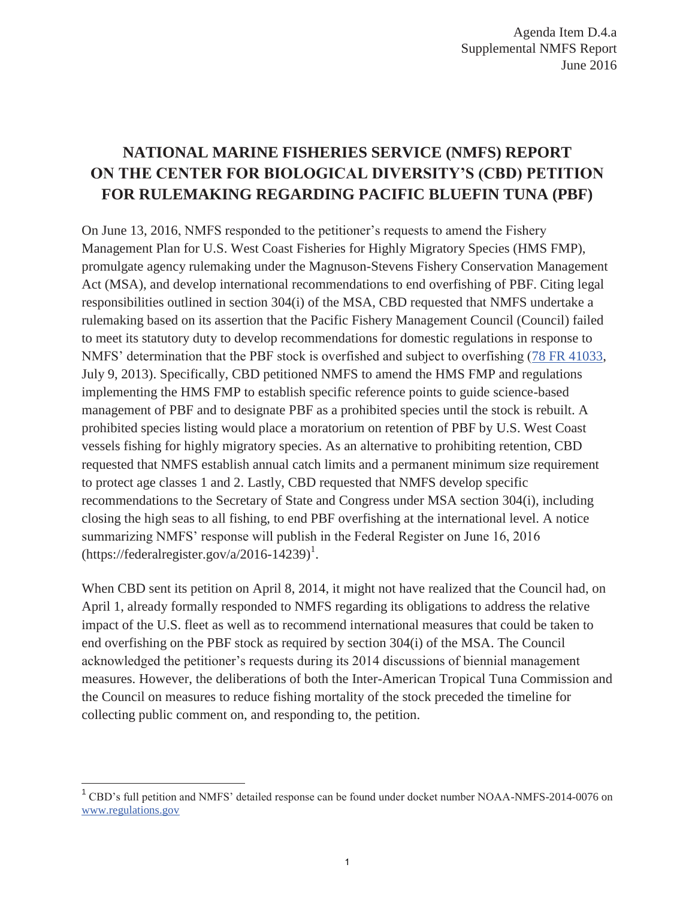## **NATIONAL MARINE FISHERIES SERVICE (NMFS) REPORT ON THE CENTER FOR BIOLOGICAL DIVERSITY'S (CBD) PETITION FOR RULEMAKING REGARDING PACIFIC BLUEFIN TUNA (PBF)**

On June 13, 2016, NMFS responded to the petitioner's requests to amend the Fishery Management Plan for U.S. West Coast Fisheries for Highly Migratory Species (HMS FMP), promulgate agency rulemaking under the Magnuson-Stevens Fishery Conservation Management Act (MSA), and develop international recommendations to end overfishing of PBF. Citing legal responsibilities outlined in section 304(i) of the MSA, CBD requested that NMFS undertake a rulemaking based on its assertion that the Pacific Fishery Management Council (Council) failed to meet its statutory duty to develop recommendations for domestic regulations in response to NMFS' determination that the PBF stock is overfished and subject to overfishing (78 FR 41033, July 9, 2013). Specifically, CBD petitioned NMFS to amend the HMS FMP and regulations implementing the HMS FMP to establish specific reference points to guide science-based management of PBF and to designate PBF as a prohibited species until the stock is rebuilt. A prohibited species listing would place a moratorium on retention of PBF by U.S. West Coast vessels fishing for highly migratory species. As an alternative to prohibiting retention, CBD requested that NMFS establish annual catch limits and a permanent minimum size requirement to protect age classes 1 and 2. Lastly, CBD requested that NMFS develop specific recommendations to the Secretary of State and Congress under MSA section 304(i), including closing the high seas to all fishing, to end PBF overfishing at the international level. A notice summarizing NMFS' response will publish in the Federal Register on June 16, 2016  $(\text{https://federalregister.gov/a/2016-14239})^1$ .

When CBD sent its petition on April 8, 2014, it might not have realized that the Council had, on April 1, already formally responded to NMFS regarding its obligations to address the relative impact of the U.S. fleet as well as to recommend international measures that could be taken to end overfishing on the PBF stock as required by section 304(i) of the MSA. The Council acknowledged the petitioner's requests during its 2014 discussions of biennial management measures. However, the deliberations of both the Inter-American Tropical Tuna Commission and the Council on measures to reduce fishing mortality of the stock preceded the timeline for collecting public comment on, and responding to, the petition.

l

<sup>&</sup>lt;sup>1</sup> CBD's full petition and NMFS' detailed response can be found under docket number NOAA-NMFS-2014-0076 on www.regulations.gov